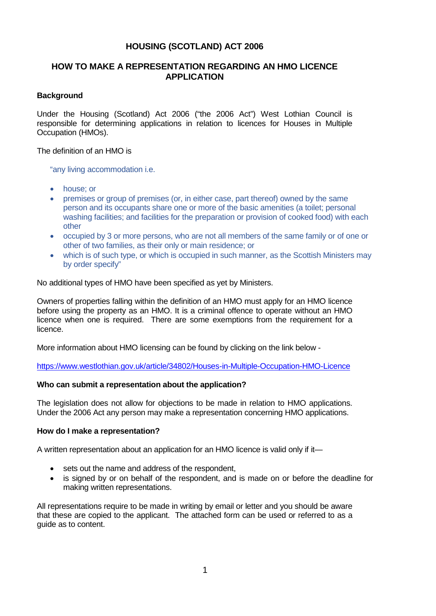## **HOUSING (SCOTLAND) ACT 2006**

## **HOW TO MAKE A REPRESENTATION REGARDING AN HMO LICENCE APPLICATION**

#### **Background**

Under the Housing (Scotland) Act 2006 ("the 2006 Act") West Lothian Council is responsible for determining applications in relation to licences for Houses in Multiple Occupation (HMOs).

The definition of an HMO is

"any living accommodation i.e.

- house; or
- premises or group of premises (or, in either case, part thereof) owned by the same person and its occupants share one or more of the basic amenities (a toilet; personal washing facilities; and facilities for the preparation or provision of cooked food) with each other
- occupied by 3 or more persons, who are not all members of the same family or of one or other of two families, as their only or main residence; or
- which is of such type, or which is occupied in such manner, as the Scottish Ministers may by order specify"

No additional types of HMO have been specified as yet by Ministers.

Owners of properties falling within the definition of an HMO must apply for an HMO licence before using the property as an HMO. It is a criminal offence to operate without an HMO licence when one is required. There are some exemptions from the requirement for a licence.

More information about HMO licensing can be found by clicking on the link below -

<https://www.westlothian.gov.uk/article/34802/Houses-in-Multiple-Occupation-HMO-Licence>

#### **Who can submit a representation about the application?**

The legislation does not allow for objections to be made in relation to HMO applications. Under the 2006 Act any person may make a representation concerning HMO applications.

#### **How do I make a representation?**

A written representation about an application for an HMO licence is valid only if it—

- sets out the name and address of the respondent,
- is signed by or on behalf of the respondent, and is made on or before the deadline for making written representations.

All representations require to be made in writing by email or letter and you should be aware that these are copied to the applicant. The attached form can be used or referred to as a guide as to content.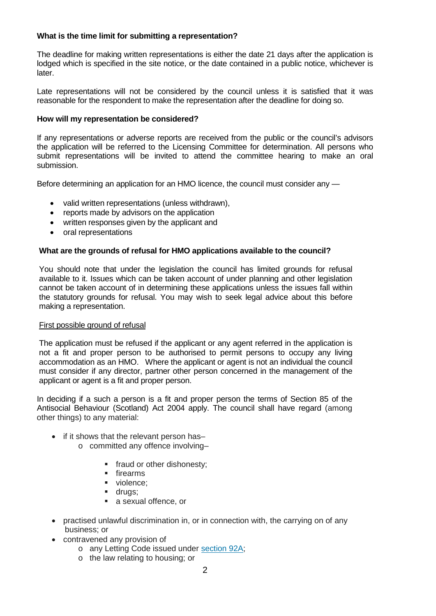## **What is the time limit for submitting a representation?**

The deadline for making written representations is either the date 21 days after the application is lodged which is specified in the site notice, or the date contained in a public notice, whichever is later.

Late representations will not be considered by the council unless it is satisfied that it was reasonable for the respondent to make the representation after the deadline for doing so.

#### **How will my representation be considered?**

If any representations or adverse reports are received from the public or the council's advisors the application will be referred to the Licensing Committee for determination. All persons who submit representations will be invited to attend the committee hearing to make an oral submission.

Before determining an application for an HMO licence, the council must consider any —

- valid written representations (unless withdrawn),
- reports made by advisors on the application
- written responses given by the applicant and
- oral representations

#### **What are the grounds of refusal for HMO applications available to the council?**

You should note that under the legislation the council has limited grounds for refusal available to it. Issues which can be taken account of under planning and other legislation cannot be taken account of in determining these applications unless the issues fall within the statutory grounds for refusal. You may wish to seek legal advice about this before making a representation.

#### First possible ground of refusal

The application must be refused if the applicant or any agent referred in the application is not a fit and proper person to be authorised to permit persons to occupy any living accommodation as an HMO. Where the applicant or agent is not an individual the council must consider if any director, partner other person concerned in the management of the applicant or agent is a fit and proper person.

In deciding if a such a person is a fit and proper person the terms of Section 85 of the Antisocial Behaviour (Scotland) Act 2004 apply. The council shall have regard (among other things) to any material:

- if it shows that the relevant person has
	- o committed any offence involving–
		- **fraud or other dishonesty;**
		- **firearms**
		- violence:
		- **drugs**;
		- a sexual offence, or
- practised unlawful discrimination in, or in connection with, the carrying on of any business; or
- contravened any provision of
	- o any Letting Code issued under [section 92A;](https://uk.practicallaw.thomsonreuters.com/Document/IFDCAF260E45511DA8D70A0E70A78ED65/View/FullText.html?originationContext=document&transitionType=DocumentItem&contextData=(sc.DocLink))
	- o the law relating to housing; or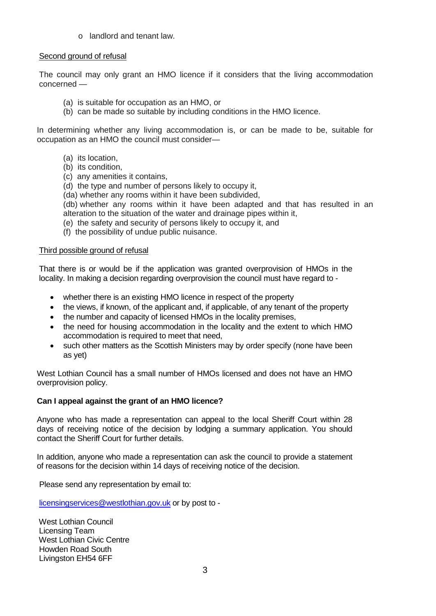o landlord and tenant law.

## Second ground of refusal

The council may only grant an HMO licence if it considers that the living accommodation concerned —

- (a) is suitable for occupation as an HMO, or
- (b) can be made so suitable by including conditions in the HMO licence.

In determining whether any living accommodation is, or can be made to be, suitable for occupation as an HMO the council must consider—

- (a) its location,
- (b) its condition,
- (c) any amenities it contains,
- (d) the type and number of persons likely to occupy it,
- (da) whether any rooms within it have been subdivided,

(db) whether any rooms within it have been adapted and that has resulted in an alteration to the situation of the water and drainage pipes within it,

- (e) the safety and security of persons likely to occupy it, and
- (f) the possibility of undue public nuisance.

#### Third possible ground of refusal

That there is or would be if the application was granted overprovision of HMOs in the locality. In making a decision regarding overprovision the council must have regard to -

- whether there is an existing HMO licence in respect of the property
- the views, if known, of the applicant and, if applicable, of any tenant of the property
- the number and capacity of licensed HMOs in the locality premises,
- the need for housing accommodation in the locality and the extent to which HMO accommodation is required to meet that need,
- such other matters as the Scottish Ministers may by order specify (none have been as yet)

West Lothian Council has a small number of HMOs licensed and does not have an HMO overprovision policy.

#### **Can I appeal against the grant of an HMO licence?**

Anyone who has made a representation can appeal to the local Sheriff Court within 28 days of receiving notice of the decision by lodging a summary application. You should contact the Sheriff Court for further details.

In addition, anyone who made a representation can ask the council to provide a statement of reasons for the decision within 14 days of receiving notice of the decision.

Please send any representation by email to:

[licensingservices@westlothian.gov.uk](mailto:licensingservices@westlothian.gov.uk) or by post to -

West Lothian Council Licensing Team West Lothian Civic Centre Howden Road South Livingston EH54 6FF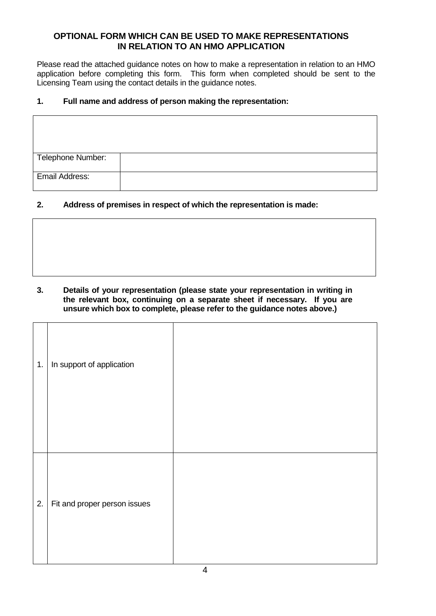# **OPTIONAL FORM WHICH CAN BE USED TO MAKE REPRESENTATIONS IN RELATION TO AN HMO APPLICATION**

Please read the attached guidance notes on how to make a representation in relation to an HMO application before completing this form. This form when completed should be sent to the Licensing Team using the contact details in the guidance notes.

٦

## **1. Full name and address of person making the representation:**

| Telephone Number: |  |
|-------------------|--|
| Email Address:    |  |

# **2. Address of premises in respect of which the representation is made:**

#### **3. Details of your representation (please state your representation in writing in the relevant box, continuing on a separate sheet if necessary. If you are unsure which box to complete, please refer to the guidance notes above.)**

| 1. | In support of application    |  |
|----|------------------------------|--|
| 2. | Fit and proper person issues |  |